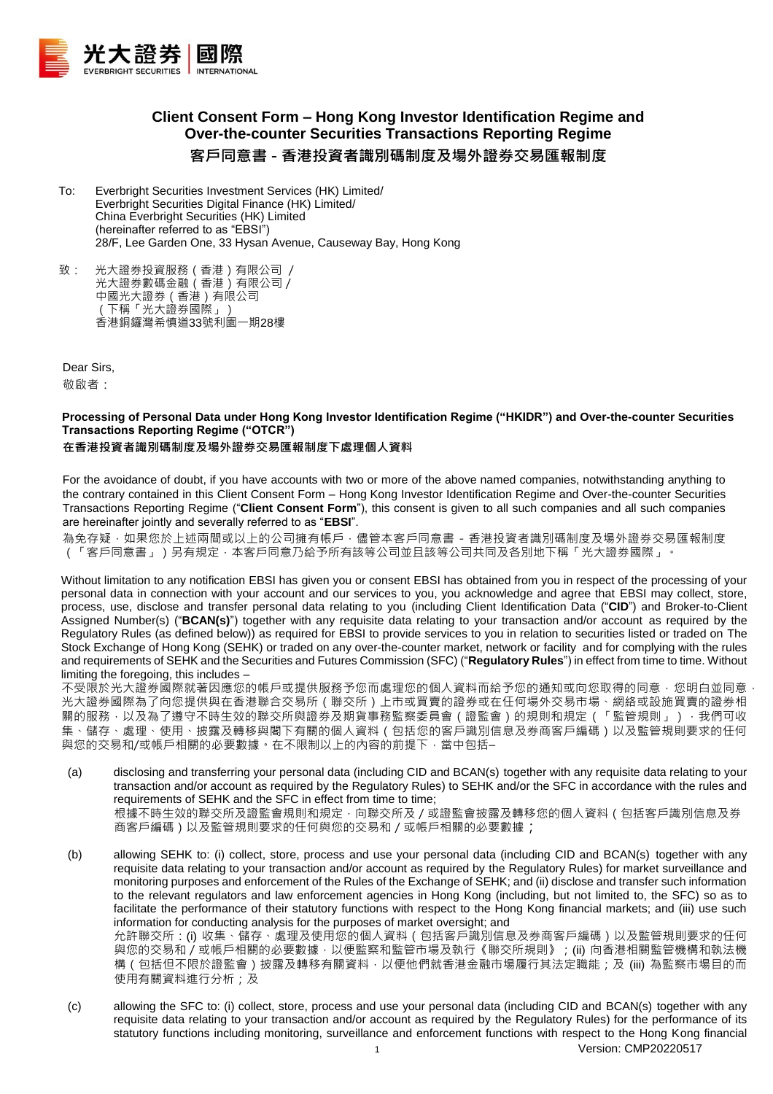

# **Client Consent Form – Hong Kong Investor Identification Regime and Over-the-counter Securities Transactions Reporting Regime 客戶同意書 - 香港投資者識別碼制度及場外證券交易匯報制度**

- To: Everbright Securities Investment Services (HK) Limited/ Everbright Securities Digital Finance (HK) Limited/ China Everbright Securities (HK) Limited (hereinafter referred to as "EBSI") 28/F, Lee Garden One, 33 Hysan Avenue, Causeway Bay, Hong Kong
- 致: 光大證券投資服務(香港)有限公司 / 光大證券數碼金融(香港)有限公司/ 中國光大證券(香港)有限公司 (下稱「光大證券國際」) 香港銅鑼灣希慎道33號利園一期28樓

Dear Sirs,

敬啟者:

## **Processing of Personal Data under Hong Kong Investor Identification Regime ("HKIDR") and Over-the-counter Securities Transactions Reporting Regime ("OTCR")**

**在香港投資者識別碼制度及場外證券交易匯報制度下處理個人資料**

For the avoidance of doubt, if you have accounts with two or more of the above named companies, notwithstanding anything to the contrary contained in this Client Consent Form – Hong Kong Investor Identification Regime and Over-the-counter Securities Transactions Reporting Regime ("**Client Consent Form**"), this consent is given to all such companies and all such companies are hereinafter jointly and severally referred to as "**EBSI**".

為免存疑,如果您於上述兩間或以上的公司擁有帳戶,儘管本客戶同意書 - 香港投資者識別碼制度及場外證券交易匯報制度 (「客戶同意書」)另有規定,本客戶同意乃給予所有該等公司並且該等公司共同及各別地下稱「光大證券國際」。

Without limitation to any notification EBSI has given you or consent EBSI has obtained from you in respect of the processing of your personal data in connection with your account and our services to you, you acknowledge and agree that EBSI may collect, store, process, use, disclose and transfer personal data relating to you (including Client Identification Data ("**CID**") and Broker-to-Client Assigned Number(s) ("**BCAN(s)**") together with any requisite data relating to your transaction and/or account as required by the Regulatory Rules (as defined below)) as required for EBSI to provide services to you in relation to securities listed or traded on The Stock Exchange of Hong Kong (SEHK) or traded on any over-the-counter market, network or facility and for complying with the rules and requirements of SEHK and the Securities and Futures Commission (SFC) ("**Regulatory Rules**") in effect from time to time. Without limiting the foregoing, this includes –

不受限於光大證券國際就著因應您的帳戶或提供服務予您而處理您的個人資料而給予您的通知或向您取得的同意,您明白並同意, 光大證券國際為了向您提供與在香港聯合交易所(聯交所)上市或買賣的證券或在任何場外交易市場、網絡或設施買賣的證券相 關的服務 · 以及為了遵守不時生效的聯交所與證券及期貨事務監察委員會(證監會)的規則和規定(「監管規則」) · 我們可收 集、儲存、處理、使用、披露及轉移與閣下有關的個人資料(包括您的客戶識別信息及券商客戶編碼)以及監管規則要求的任何 與您的交易和/或帳戶相關的必要數據。在不限制以上的內容的前提下,當中包括–

- (a) disclosing and transferring your personal data (including CID and BCAN(s) together with any requisite data relating to your transaction and/or account as required by the Regulatory Rules) to SEHK and/or the SFC in accordance with the rules and requirements of SEHK and the SFC in effect from time to time; 根據不時生效的聯交所及證監會規則和規定,向聯交所及/或證監會披露及轉移您的個人資料(包括客戶識別信息及券 商客戶編碼)以及監管規則要求的任何與您的交易和 / 或帳戶相關的必要數據;
- (b) allowing SEHK to: (i) collect, store, process and use your personal data (including CID and BCAN(s) together with any requisite data relating to your transaction and/or account as required by the Regulatory Rules) for market surveillance and monitoring purposes and enforcement of the Rules of the Exchange of SEHK; and (ii) disclose and transfer such information to the relevant regulators and law enforcement agencies in Hong Kong (including, but not limited to, the SFC) so as to facilitate the performance of their statutory functions with respect to the Hong Kong financial markets; and (iii) use such information for conducting analysis for the purposes of market oversight; and 允許聯交所:(i) 收集、儲存、處理及使用您的個人資料(包括客戶識別信息及券商客戶編碼)以及監管規則要求的任何 與您的交易和 / 或帳戶相關的必要數據, 以便監察和監管市場及執行《聯交所規則》; (ii) 向香港相關監管機構和執法機 構(包括但不限於證監會)披露及轉移有關資料 · 以便他們就香港金融市場履行其法定職能;及 (iii) 為監察市場目的而 使用有關資料進行分析;及
- (c) allowing the SFC to: (i) collect, store, process and use your personal data (including CID and BCAN(s) together with any requisite data relating to your transaction and/or account as required by the Regulatory Rules) for the performance of its statutory functions including monitoring, surveillance and enforcement functions with respect to the Hong Kong financial